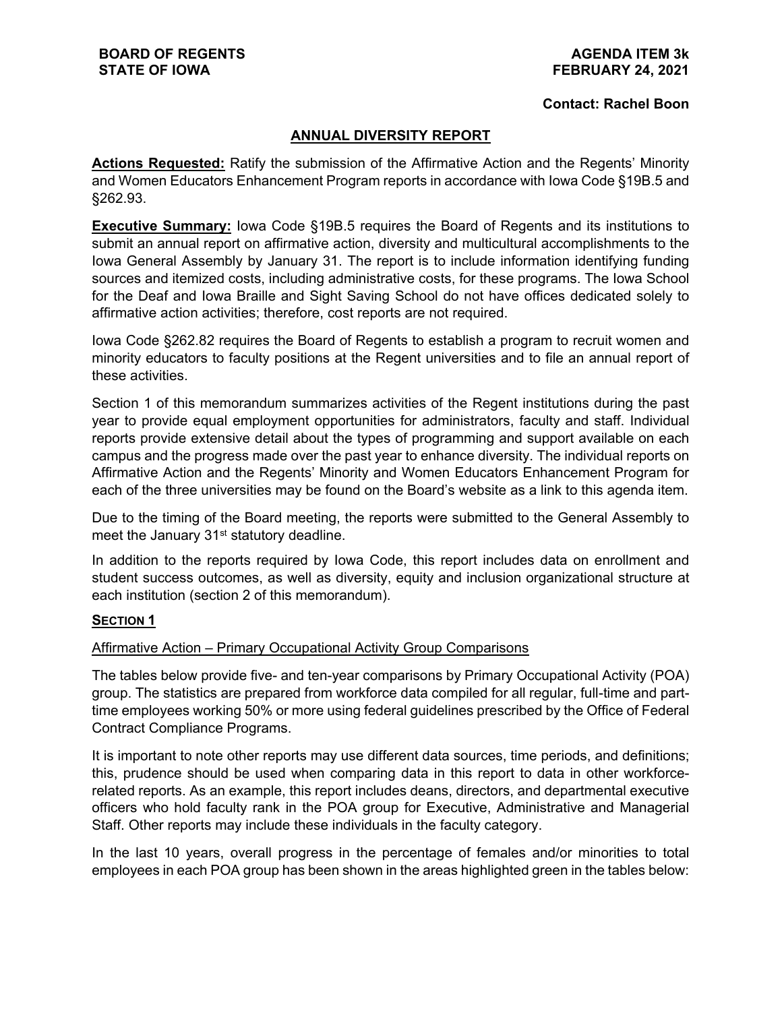#### **Contact: Rachel Boon**

#### **ANNUAL DIVERSITY REPORT**

**Actions Requested:** Ratify the submission of the Affirmative Action and the Regents' Minority and Women Educators Enhancement Program reports in accordance with Iowa Code §19B.5 and §262.93.

**Executive Summary:** Iowa Code §19B.5 requires the Board of Regents and its institutions to submit an annual report on affirmative action, diversity and multicultural accomplishments to the Iowa General Assembly by January 31. The report is to include information identifying funding sources and itemized costs, including administrative costs, for these programs. The Iowa School for the Deaf and Iowa Braille and Sight Saving School do not have offices dedicated solely to affirmative action activities; therefore, cost reports are not required.

Iowa Code §262.82 requires the Board of Regents to establish a program to recruit women and minority educators to faculty positions at the Regent universities and to file an annual report of these activities.

Section 1 of this memorandum summarizes activities of the Regent institutions during the past year to provide equal employment opportunities for administrators, faculty and staff. Individual reports provide extensive detail about the types of programming and support available on each campus and the progress made over the past year to enhance diversity. The individual reports on Affirmative Action and the Regents' Minority and Women Educators Enhancement Program for each of the three universities may be found on the Board's website as a link to this agenda item.

Due to the timing of the Board meeting, the reports were submitted to the General Assembly to meet the January 31<sup>st</sup> statutory deadline.

In addition to the reports required by Iowa Code, this report includes data on enrollment and student success outcomes, as well as diversity, equity and inclusion organizational structure at each institution (section 2 of this memorandum).

#### **SECTION 1**

#### Affirmative Action – Primary Occupational Activity Group Comparisons

The tables below provide five- and ten-year comparisons by Primary Occupational Activity (POA) group. The statistics are prepared from workforce data compiled for all regular, full-time and parttime employees working 50% or more using federal guidelines prescribed by the Office of Federal Contract Compliance Programs.

It is important to note other reports may use different data sources, time periods, and definitions; this, prudence should be used when comparing data in this report to data in other workforcerelated reports. As an example, this report includes deans, directors, and departmental executive officers who hold faculty rank in the POA group for Executive, Administrative and Managerial Staff. Other reports may include these individuals in the faculty category.

In the last 10 years, overall progress in the percentage of females and/or minorities to total employees in each POA group has been shown in the areas highlighted green in the tables below: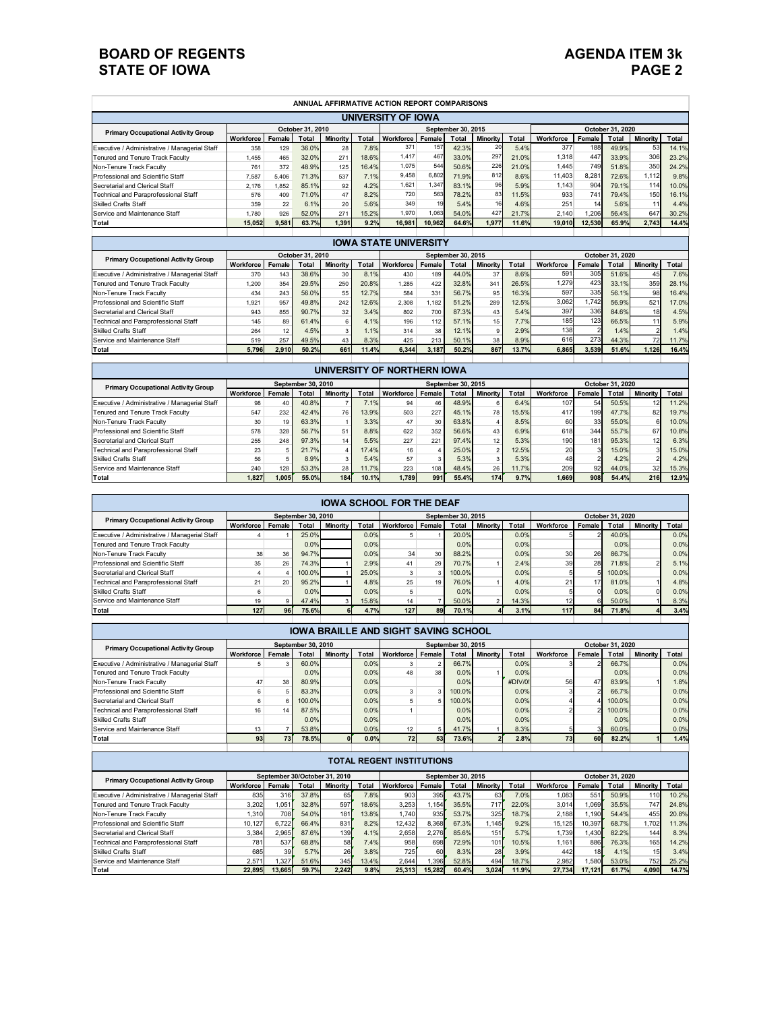| ANNUAL AFFIRMATIVE ACTION REPORT COMPARISONS                   |           |        |               |          |              |           |        |                    |                 |       |           |        |                  |                 |       |
|----------------------------------------------------------------|-----------|--------|---------------|----------|--------------|-----------|--------|--------------------|-----------------|-------|-----------|--------|------------------|-----------------|-------|
| UNIVERSITY OF IOWA                                             |           |        |               |          |              |           |        |                    |                 |       |           |        |                  |                 |       |
| October 31, 2010<br><b>Primary Occupational Activity Group</b> |           |        |               |          |              |           |        | September 30, 2015 |                 |       |           |        | October 31, 2020 |                 |       |
|                                                                | Workforce | Female | <b>T</b> otal | Minority | <b>Total</b> | Workforce | Female | Total              | <b>Minority</b> | Total | Workforce | Female | Total            | <b>Minority</b> | Total |
| Executive / Administrative / Managerial Staff                  | 358       | 129    | 36.0%         | 28       | 7.8%         | 371       | 157    | 42.3%              | 20              | 5.4%  | 377       | 188    | 49.9%            | 53              | 14.1% |
| Tenured and Tenure Track Faculty                               | 1.455     | 465    | 32.0%         | 271      | 18.6%        | 1,417     | 467    | 33.0%              | 297             | 21.0% | 1,318     | 447    | 33.9%            | 306             | 23.2% |
| Non-Tenure Track Faculty                                       | 761       | 372    | 48.9%         | 125      | 16.4%        | 1,075     | 544    | 50.6%              | 226             | 21.0% | 1.445     | 749    | 51.8%            | 350             | 24.2% |
| Professional and Scientific Staff                              | 7.587     | 5.406  | 71.3%         | 537      | 7.1%         | 9,458     | 6.802  | 71.9%              | 812             | 8.6%  | 11.403    | 8.281  | 72.6%            | 1,112           | 9.8%  |
| Secretarial and Clerical Staff                                 | 2.176     | 1.852  | 85.1%         | 92       | 4.2%         | 1,621     | .347   | 83.1%              | 96              | 5.9%  | 1.143     | 904    | 79.1%            | 114             | 10.0% |
| Technical and Paraprofessional Staff                           | 576       | 409    | 71.0%         | 47       | 8.2%         | 720       | 563    | 78.2%              | 83              | 11.5% | 933       | 741    | 79.4%            | 150             | 16.1% |
| <b>Skilled Crafts Staff</b>                                    | 359       | 22     | 6.1%          | 20       | 5.6%         | 349       | 19     | 5.4%               | 161             | 4.6%  | 251       | 14     | 5.6%             | 11              | 4.4%  |
| Service and Maintenance Staff                                  | 1.780     | 926    | 52.0%         | 271      | 15.2%        | 1.970     | .063   | 54.0%              | 427             | 21.7% | 2.140     | 1.206  | 56.4%            | 647             | 30.2% |
| Total                                                          | 15.052    | 9,581  | 63.7%         | 1.391    | 9.2%         | 16.981    | 10.962 | 64.6%              | 1.977           | 11.6% | 19.010    | 12.530 | 65.9%            | 2.743           | 14.4% |
|                                                                |           |        |               |          |              |           |        |                    |                 |       |           |        |                  |                 |       |

| <b>IOWA STATE UNIVERSITY</b>                  |                  |        |       |          |       |           |                    |              |                 |       |           |                  |       |                 |       |  |
|-----------------------------------------------|------------------|--------|-------|----------|-------|-----------|--------------------|--------------|-----------------|-------|-----------|------------------|-------|-----------------|-------|--|
| <b>Primary Occupational Activity Group</b>    | October 31, 2010 |        |       |          |       |           | September 30, 2015 |              |                 |       |           | October 31, 2020 |       |                 |       |  |
|                                               | Workforce        | Female | Total | Minority | Tota  | Workforce | Female             | <b>Total</b> | <b>Minority</b> | Total | Workforce | Female           | Total | <b>Minority</b> | Total |  |
| Executive / Administrative / Managerial Staff | 370              | 143    | 38.6% | 30       | 8.1%  | 430       | 189                | 44.0%        | 37              | 8.6%  | 591       | 305              | 51.6% | 45              | 7.6%  |  |
| Tenured and Tenure Track Faculty              | 1.200            | 354    | 29.5% | 250      | 20.8% | 1.285     | 422                | 32.8%        | 341             | 26.5% | 1.279     | 423              | 33.1% | 359             | 28.1% |  |
| Non-Tenure Track Faculty                      | 434              | 243    | 56.0% | 55       | 12.7% | 584       | 331                | 56.7%        | 95              | 16.3% | 597       | 335              | 56.1% | 98              | 16.4% |  |
| Professional and Scientific Staff             | 1.921            | 957    | 49.8% | 242      | 12.6% | 2.308     | 1.182              | 51.2%        | 289             | 12.5% | 3.062     | 1.742            | 56.9% | 521             | 17.0% |  |
| Secretarial and Clerical Staff                | 943              | 855    | 90.7% | 32       | 3.4%  | 802       | 700                | 87.3%        | 43              | 5.4%  | 397       | 336              | 84.6% | 18              | 4.5%  |  |
| Technical and Paraprofessional Staff          | 145              | 89     | 61.4% |          | 4.1%  | 196       | 112                | 57.1%        | 15              | 7.7%  | 185       | 123              | 66.5% |                 | 5.9%  |  |
| <b>Skilled Crafts Staff</b>                   | 264              | 12     | 4.5%  |          | 1.1%  | 314       | 38                 | 12.1%        | 9               | 2.9%  | 138       |                  | 1.4%  |                 | 1.4%  |  |
| Service and Maintenance Staff                 | 519              | 257    | 49.5% | 43       | 8.3%  | 425       | 213                | 50.1%        | 38              | 8.9%  | 616       | 273              | 44.3% | 721             | 11.7% |  |
| Total                                         | 5.796            | 2.910  | 50.2% | 661      | 11.4% | 6.344     | 3.187              | 50.2%        | 867             | 13.7% | 6.865     | 3.539            | 51.6% | 1.126           | 16.4% |  |
|                                               |                  |        |       |          |       |           |                    |              |                 |       |           |                  |       |                 |       |  |

| UNIVERSITY OF NORTHERN IOWA                   |                    |        |               |                 |              |                  |                  |                    |                 |       |                  |          |       |          |       |
|-----------------------------------------------|--------------------|--------|---------------|-----------------|--------------|------------------|------------------|--------------------|-----------------|-------|------------------|----------|-------|----------|-------|
| <b>Primary Occupational Activity Group</b>    | September 30, 2010 |        |               |                 |              |                  |                  | September 30, 2015 |                 |       | October 31, 2020 |          |       |          |       |
|                                               | <b>Workforce</b>   | Female | <b>T</b> otal | <b>Minority</b> | <b>Total</b> | <b>Workforce</b> | Female           | <b>Total</b>       | <b>Minority</b> | Total | Workforce        | Female I | Total | Minority | Total |
| Executive / Administrative / Managerial Staff | 98                 | 40     | 40.8%         |                 | 7.1%         | 94               | 46               | 48.9%              | 6               | 6.4%  | 107              | 54       | 50.5% | 12       | 11.2% |
| Tenured and Tenure Track Faculty              | 547                | 232    | 42.4%         | 76              | 13.9%        | 503              | 227              | 45.1%              | 78              | 15.5% | 417              | 199      | 47.7% | 82       | 19.7% |
| Non-Tenure Track Faculty                      | 30                 | 19     | 63.3%         |                 | 3.3%         | 47               | 30               | 63.8%              | 4               | 8.5%  | 60               | 33       | 55.0% | 6        | 10.0% |
| Professional and Scientific Staff             | 578                | 328    | 56.7%         | 51              | 8.8%         | 622              | 352              | 56.6%              | 43              | 6.9%  | 618              | 344      | 55.7% | 67       | 10.8% |
| Secretarial and Clerical Staff                | 255                | 248    | 97.3%         | 14              | 5.5%         | 227              | 221              | 97.4%              | 12              | 5.3%  | 190              | 181      | 95.3% | 12       | 6.3%  |
| Technical and Paraprofessional Staff          | 23                 |        | 21.7%         |                 | 17.4%        | 16               |                  | 25.0%              | $\mathcal{P}$   | 12.5% | 20               |          | 15.0% |          | 15.0% |
| <b>Skilled Crafts Staff</b>                   | 56                 |        | 8.9%          |                 | 5.4%         | 57               |                  | 5.3%               | 3               | 5.3%  | 48               |          | 4.2%  |          | 4.2%  |
| Service and Maintenance Staff                 | 240                | 128    | 53.3%         | 28              | 11.7%        | 223              | 108 <sub>1</sub> | 48.4%              | 26              | 11.7% | 209              | 92       | 44.0% | 32       | 15.3% |
| Total                                         | .827               | .005   | 55.0%         | 184             | 10.1%        | 1.789            | 991              | 55.4%              | 174             | 9.7%  | 1.669            | 908      | 54.4% | 216      | 12.9% |

| <b>IOWA SCHOOL FOR THE DEAF</b>               |                    |        |        |          |              |                    |        |              |                 |                  |           |        |        |                 |       |
|-----------------------------------------------|--------------------|--------|--------|----------|--------------|--------------------|--------|--------------|-----------------|------------------|-----------|--------|--------|-----------------|-------|
| <b>Primary Occupational Activity Group</b>    | September 30, 2010 |        |        |          |              | September 30, 2015 |        |              |                 | October 31, 2020 |           |        |        |                 |       |
|                                               | Workforce          | Female | Total  | Minority | <b>Total</b> | <b>Workforce</b>   | Female | <b>Total</b> | <b>Minority</b> | Total            | Workforce | Female | Total  | <b>Minority</b> | Total |
| Executive / Administrative / Managerial Staff |                    |        | 25.0%  |          | 0.0%         |                    |        | 20.0%        |                 | 0.0%             |           |        | 40.0%  |                 | 0.0%  |
| Tenured and Tenure Track Faculty              |                    |        | 0.0%   |          | 0.0%         |                    |        | 0.0%         |                 | 0.0%             |           |        | 0.0%   |                 | 0.0%  |
| Non-Tenure Track Faculty                      | 38                 | 36     | 94.7%  |          | 0.0%         | 34                 | 30     | 88.2%        |                 | 0.0%             | 30        | 26     | 86.7%  |                 | 0.0%  |
| Professional and Scientific Staff             | 35                 | 26     | 74.3%  |          | 2.9%         | 41                 | 29     | 70.7%        |                 | 2.4%             | 39        | 28     | 71.8%  |                 | 5.1%  |
| Secretarial and Clerical Staff                |                    | 4      | 100.0% |          | 25.0%        |                    |        | 100.0%       |                 | 0.0%             |           |        | 100.0% |                 | 0.0%  |
| Technical and Paraprofessional Staff          | 21                 | 20     | 95.2%  |          | 4.8%         | 25                 | 19     | 76.0%        |                 | 4.0%             | 21        | 171    | 81.0%  |                 | 4.8%  |
| <b>Skilled Crafts Staff</b>                   |                    |        | 0.0%   |          | 0.0%         |                    |        | 0.0%         |                 | 0.0%             |           |        | 0.0%   |                 | 0.0%  |
| Service and Maintenance Staff                 | 19                 | q      | 47.4%  |          | 15.8%        | 14                 |        | 50.0%        | 2               | 14.3%            |           |        | 50.0%  |                 | 8.3%  |
| Total                                         | 127                | 96     | 75.6%  |          | 4.7%         | 127                | 89     | 70.1%        |                 | 3.1%             | 117       | 84     | 71.8%  |                 | 3.4%  |
|                                               |                    |        |        |          |              |                    |        |              |                 |                  |           |        |        |                 |       |

| IOWA BRAILLE AND SIGHT SAVING SCHOOL          |           |        |                                          |                 |       |                 |        |              |                 |                  |           |           |        |                 |       |
|-----------------------------------------------|-----------|--------|------------------------------------------|-----------------|-------|-----------------|--------|--------------|-----------------|------------------|-----------|-----------|--------|-----------------|-------|
| <b>Primary Occupational Activity Group</b>    |           |        | September 30, 2010<br>September 30, 2015 |                 |       |                 |        |              |                 | October 31, 2020 |           |           |        |                 |       |
|                                               | Workforce | Female | Total                                    | <b>Minority</b> | Total | Workforce       | Female | <b>Total</b> | <b>Minority</b> | Total            | Workforce | Female    | Total  | <b>Minority</b> | Total |
| Executive / Administrative / Managerial Staff |           | 3      | 60.0%                                    |                 | 0.0%  |                 |        | 66.7%        |                 | 0.0%             |           |           | 66.7%  |                 | 0.0%  |
| Tenured and Tenure Track Faculty              |           |        | 0.0%                                     |                 | 0.0%  | 48              | 38     | 0.0%         |                 | 0.0%             |           |           | 0.0%   |                 | 0.0%  |
| Non-Tenure Track Faculty                      | 47        | 38     | 80.9%                                    |                 | 0.0%  |                 |        | 0.0%         |                 | #DIV/0!          | 56        | 47        | 83.9%  |                 | 1.8%  |
| Professional and Scientific Staff             |           | 5      | 83.3%                                    |                 | 0.0%  |                 |        | 100.0%       |                 | 0.0%             |           |           | 66.7%  |                 | 0.0%  |
| Secretarial and Clerical Staff                |           | 6      | 100.0%                                   |                 | 0.0%  |                 |        | 100.0%       |                 | 0.0%             |           |           | 100.0% |                 | 0.0%  |
| Technical and Paraprofessional Staff          | 16        | 14     | 87.5%                                    |                 | 0.0%  |                 |        | 0.0%         |                 | 0.0%             |           |           | 100.0% |                 | 0.0%  |
| <b>Skilled Crafts Staff</b>                   |           |        | 0.0%                                     |                 | 0.0%  |                 |        | 0.0%         |                 | 0.0%             |           |           | 0.0%   |                 | 0.0%  |
| Service and Maintenance Staff                 | 13        |        | 53.8%                                    |                 | 0.0%  | 12 <sub>1</sub> |        | 41.7%        |                 | 8.3%             |           |           | 60.0%  |                 | 0.0%  |
| Total                                         | 93        | 73     | 78.5%                                    |                 | 0.0%  | 72              | 53     | 73.6%        |                 | 2.8%             | 73        | <b>60</b> | 82.2%  |                 | 1.4%  |
|                                               |           |        |                                          |                 |       |                 |        |              |                 |                  |           |           |        |                 |       |

| <b>TOTAL REGENT INSTITUTIONS</b>              |                               |        |       |                 |                    |           |                 |       |                 |                  |           |                 |       |                 |       |
|-----------------------------------------------|-------------------------------|--------|-------|-----------------|--------------------|-----------|-----------------|-------|-----------------|------------------|-----------|-----------------|-------|-----------------|-------|
| <b>Primary Occupational Activity Group</b>    | September 30/October 31, 2010 |        |       |                 | September 30, 2015 |           |                 |       |                 | October 31, 2020 |           |                 |       |                 |       |
|                                               | Workforce                     | Female | Total | <b>Minority</b> | Total              | Workforce | Female          | Total | <b>Minority</b> | Total            | Workforce | Female          | Total | <b>Minority</b> | Total |
| Executive / Administrative / Managerial Staff | 835                           | 316    | 37.8% | 65              | 7.8%               | 903       | 395             | 43.7% | 63              | 7.0%             | 1.083     | 551             | 50.9% | 110             | 10.2% |
| Tenured and Tenure Track Faculty              | 3,202                         | 1,051  | 32.8% | 597             | 18.6%              | 3.253     | ,154            | 35.5% | 717             | 22.0%            | 3.014     | 1,069           | 35.5% | 747             | 24.8% |
| Non-Tenure Track Faculty                      | 1.310                         | 708    | 54.0% | 181             | 13.8%              | 1,740     | 935             | 53.7% | 325             | 18.7%            | 2.188     | .190            | 54.4% | 455             | 20.8% |
| Professional and Scientific Staff             | 10.127                        | 6,722  | 66.4% | 831             | 8.2%               | 12.432    | 8,368           | 67.3% | .145            | 9.2%             | 15.125    | 10.397          | 68.7% | 1.702           | 11.3% |
| Secretarial and Clerical Staff                | 3.384                         | 2,965  | 87.6% | 139             | 4.1%               | 2.658     | 2.276           | 85.6% | 151             | 5.7%             | 1.739     | 1.430           | 82.2% | 144             | 8.3%  |
| Technical and Paraprofessional Staff          | 781                           | 537    | 68.8% | 58              | 7.4%               | 958       | 698             | 72.9% | 101             | 10.5%            | 1.161     | 886             | 76.3% | 165             | 14.2% |
| <b>Skilled Crafts Staff</b>                   | 685                           | 39     | 5.7%  | 26              | 3.8%               | 725       | 60 <sub>1</sub> | 8.3%  | 28              | 3.9%             | 442       | 18 <sup>1</sup> | 4.1%  | 15 <sub>l</sub> | 3.4%  |
| Service and Maintenance Staff                 | 2.571                         | .327   | 51.6% | 345             | 13.4%              | 2.644     | .396            | 52.8% | 494             | 18.7%            | 2,982     | 1,580           | 53.0% | 752             | 25.2% |
| Total                                         | 22.895                        | 13.665 | 59.7% | 2.242           | 9.8%               | 25.313    | 15.282          | 60.4% | 3.024           | 11.9%            | 27.734    | 17.121          | 61.7% | 4.090           | 14.7% |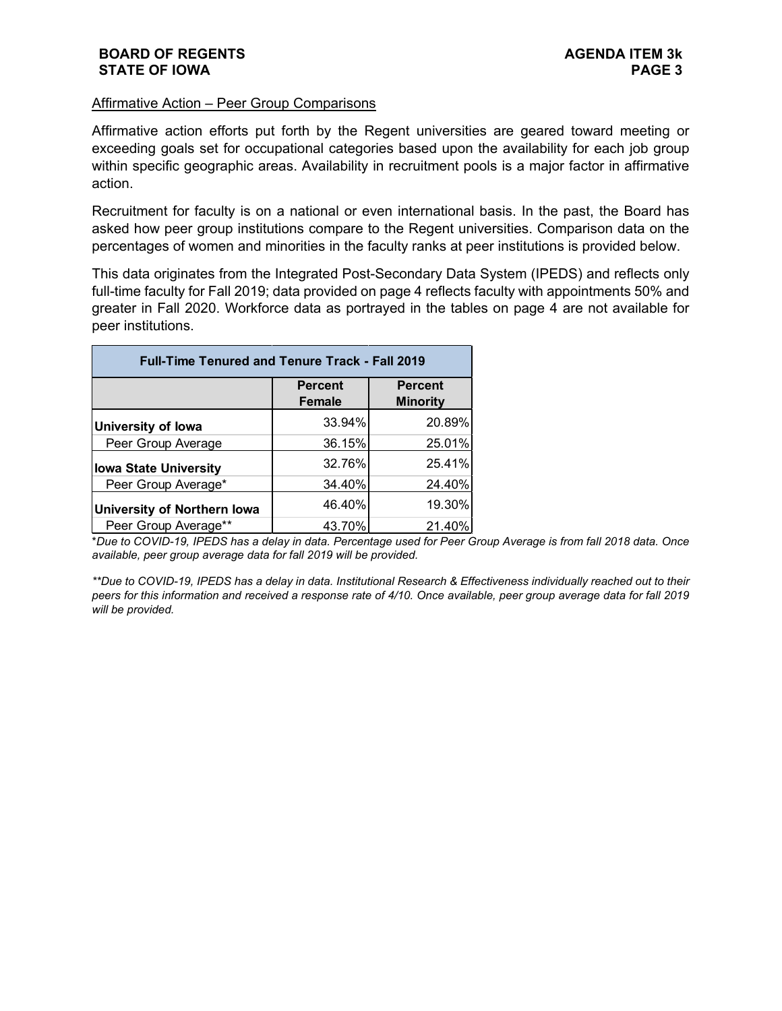#### Affirmative Action – Peer Group Comparisons

Affirmative action efforts put forth by the Regent universities are geared toward meeting or exceeding goals set for occupational categories based upon the availability for each job group within specific geographic areas. Availability in recruitment pools is a major factor in affirmative action.

Recruitment for faculty is on a national or even international basis. In the past, the Board has asked how peer group institutions compare to the Regent universities. Comparison data on the percentages of women and minorities in the faculty ranks at peer institutions is provided below.

This data originates from the Integrated Post-Secondary Data System (IPEDS) and reflects only full-time faculty for Fall 2019; data provided on page 4 reflects faculty with appointments 50% and greater in Fall 2020. Workforce data as portrayed in the tables on page 4 are not available for peer institutions.

| <b>Full-Time Tenured and Tenure Track - Fall 2019</b> |                                 |                 |  |  |  |  |  |  |  |  |  |
|-------------------------------------------------------|---------------------------------|-----------------|--|--|--|--|--|--|--|--|--|
|                                                       | <b>Percent</b><br><b>Female</b> | <b>Percent</b>  |  |  |  |  |  |  |  |  |  |
|                                                       |                                 | <b>Minority</b> |  |  |  |  |  |  |  |  |  |
| <b>University of lowa</b>                             | 33.94%                          | 20.89%          |  |  |  |  |  |  |  |  |  |
| Peer Group Average                                    | 36.15%                          | 25.01%          |  |  |  |  |  |  |  |  |  |
| <b>Iowa State University</b>                          | 32.76%                          | 25.41%          |  |  |  |  |  |  |  |  |  |
| Peer Group Average*                                   | 34.40%                          | 24.40%          |  |  |  |  |  |  |  |  |  |
| <b>University of Northern lowa</b>                    | 46.40%                          | 19.30%          |  |  |  |  |  |  |  |  |  |
| Peer Group Average**                                  | 43.70%                          | 21.40%          |  |  |  |  |  |  |  |  |  |

\**Due to COVID-19, IPEDS has a delay in data. Percentage used for Peer Group Average is from fall 2018 data. Once available, peer group average data for fall 2019 will be provided.* 

*\*\*Due to COVID-19, IPEDS has a delay in data. Institutional Research & Effectiveness individually reached out to their peers for this information and received a response rate of 4/10. Once available, peer group average data for fall 2019 will be provided.*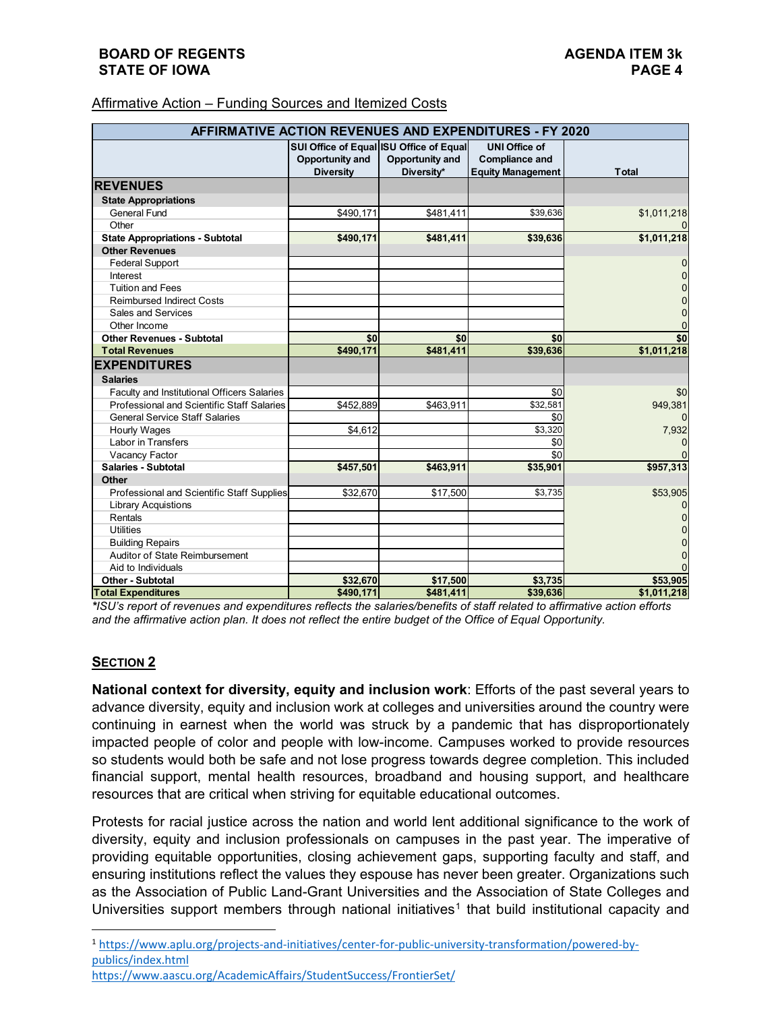| Affirmative Action – Funding Sources and Itemized Costs |
|---------------------------------------------------------|
|                                                         |

| AFFIRMATIVE ACTION REVENUES AND EXPENDITURES - FY 2020 |                                         |                 |                          |                |  |  |  |  |  |  |  |
|--------------------------------------------------------|-----------------------------------------|-----------------|--------------------------|----------------|--|--|--|--|--|--|--|
|                                                        | SUI Office of Equal ISU Office of Equal |                 | <b>UNI Office of</b>     |                |  |  |  |  |  |  |  |
|                                                        | Opportunity and                         | Opportunity and | <b>Compliance and</b>    |                |  |  |  |  |  |  |  |
|                                                        | <b>Diversity</b>                        | Diversity*      | <b>Equity Management</b> | <b>Total</b>   |  |  |  |  |  |  |  |
| <b>REVENUES</b>                                        |                                         |                 |                          |                |  |  |  |  |  |  |  |
| <b>State Appropriations</b>                            |                                         |                 |                          |                |  |  |  |  |  |  |  |
| <b>General Fund</b>                                    | \$490,171                               | \$481,411       | \$39,636                 | \$1,011,218    |  |  |  |  |  |  |  |
| Other                                                  |                                         |                 |                          |                |  |  |  |  |  |  |  |
| <b>State Appropriations - Subtotal</b>                 | \$490,171                               | \$481,411       | \$39,636                 | \$1,011,218    |  |  |  |  |  |  |  |
| <b>Other Revenues</b>                                  |                                         |                 |                          |                |  |  |  |  |  |  |  |
| <b>Federal Support</b>                                 |                                         |                 |                          | 0              |  |  |  |  |  |  |  |
| Interest                                               |                                         |                 |                          | 0              |  |  |  |  |  |  |  |
| <b>Tuition and Fees</b>                                |                                         |                 |                          | $\overline{0}$ |  |  |  |  |  |  |  |
| <b>Reimbursed Indirect Costs</b>                       |                                         |                 |                          | 0              |  |  |  |  |  |  |  |
| Sales and Services                                     |                                         |                 |                          | $\overline{0}$ |  |  |  |  |  |  |  |
| Other Income                                           |                                         |                 |                          | 0              |  |  |  |  |  |  |  |
| <b>Other Revenues - Subtotal</b>                       | \$0                                     | \$0             | \$0                      | \$0            |  |  |  |  |  |  |  |
| <b>Total Revenues</b>                                  | \$490,171                               | \$481,411       | \$39,636                 | \$1,011,218    |  |  |  |  |  |  |  |
| <b>EXPENDITURES</b>                                    |                                         |                 |                          |                |  |  |  |  |  |  |  |
| <b>Salaries</b>                                        |                                         |                 |                          |                |  |  |  |  |  |  |  |
| Faculty and Institutional Officers Salaries            |                                         |                 | \$0                      | \$0            |  |  |  |  |  |  |  |
| Professional and Scientific Staff Salaries             | \$452,889                               | \$463,911       | \$32,581                 | 949,381        |  |  |  |  |  |  |  |
| <b>General Service Staff Salaries</b>                  |                                         |                 | \$0                      | 0              |  |  |  |  |  |  |  |
| <b>Hourly Wages</b>                                    | \$4.612                                 |                 | \$3,320                  | 7,932          |  |  |  |  |  |  |  |
| Labor in Transfers                                     |                                         |                 | \$0                      | 0              |  |  |  |  |  |  |  |
| Vacancy Factor                                         |                                         |                 | \$0                      | $\Omega$       |  |  |  |  |  |  |  |
| Salaries - Subtotal                                    | \$457,501                               | \$463,911       | \$35,901                 | \$957,313      |  |  |  |  |  |  |  |
| Other                                                  |                                         |                 |                          |                |  |  |  |  |  |  |  |
| Professional and Scientific Staff Supplies             | \$32,670                                | \$17,500        | \$3,735                  | \$53,905       |  |  |  |  |  |  |  |
| <b>Library Acquistions</b>                             |                                         |                 |                          | 0              |  |  |  |  |  |  |  |
| Rentals                                                |                                         |                 |                          | 0              |  |  |  |  |  |  |  |
| <b>Utilities</b>                                       |                                         |                 |                          | $\overline{0}$ |  |  |  |  |  |  |  |
| <b>Building Repairs</b>                                |                                         |                 |                          | $\Omega$       |  |  |  |  |  |  |  |
| Auditor of State Reimbursement                         |                                         |                 |                          | $\Omega$       |  |  |  |  |  |  |  |
| Aid to Individuals                                     |                                         |                 |                          | $\Omega$       |  |  |  |  |  |  |  |
| <b>Other - Subtotal</b>                                | \$32.670                                | \$17.500        | \$3.735                  | \$53,905       |  |  |  |  |  |  |  |
| <b>Total Expenditures</b>                              | \$490.171                               | \$481.411       | \$39,636                 | \$1.011.218    |  |  |  |  |  |  |  |

*\*ISU's report of revenues and expenditures reflects the salaries/benefits of staff related to affirmative action efforts and the affirmative action plan. It does not reflect the entire budget of the Office of Equal Opportunity.* 

# **SECTION 2**

**National context for diversity, equity and inclusion work**: Efforts of the past several years to advance diversity, equity and inclusion work at colleges and universities around the country were continuing in earnest when the world was struck by a pandemic that has disproportionately impacted people of color and people with low-income. Campuses worked to provide resources so students would both be safe and not lose progress towards degree completion. This included financial support, mental health resources, broadband and housing support, and healthcare resources that are critical when striving for equitable educational outcomes.

<span id="page-3-0"></span>Protests for racial justice across the nation and world lent additional significance to the work of diversity, equity and inclusion professionals on campuses in the past year. The imperative of providing equitable opportunities, closing achievement gaps, supporting faculty and staff, and ensuring institutions reflect the values they espouse has never been greater. Organizations such as the Association of Public Land-Grant Universities and the Association of State Colleges and Universities support members through national initiatives<sup>[1](#page-3-0)</sup> that build institutional capacity and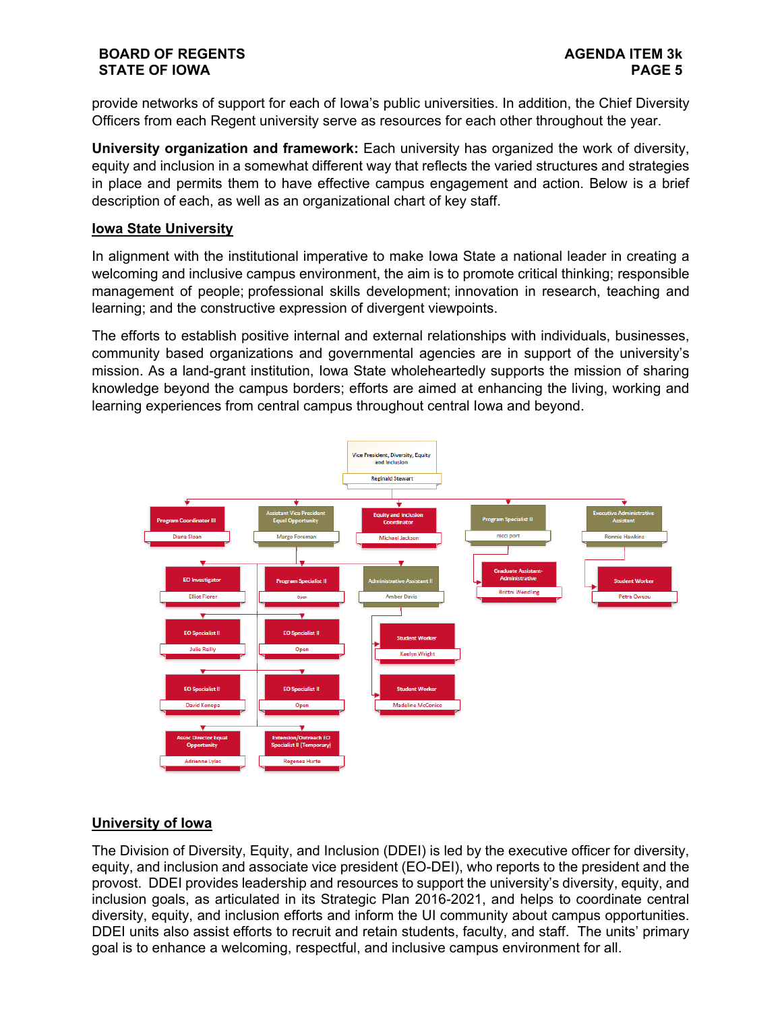provide networks of support for each of Iowa's public universities. In addition, the Chief Diversity Officers from each Regent university serve as resources for each other throughout the year.

**University organization and framework:** Each university has organized the work of diversity, equity and inclusion in a somewhat different way that reflects the varied structures and strategies in place and permits them to have effective campus engagement and action. Below is a brief description of each, as well as an organizational chart of key staff.

## **Iowa State University**

In alignment with the institutional imperative to make Iowa State a national leader in creating a welcoming and inclusive campus environment, the aim is to promote critical thinking; responsible management of people; professional skills development; innovation in research, teaching and learning; and the constructive expression of divergent viewpoints.

The efforts to establish positive internal and external relationships with individuals, businesses, community based organizations and governmental agencies are in support of the university's mission. As a land-grant institution, Iowa State wholeheartedly supports the mission of sharing knowledge beyond the campus borders; efforts are aimed at enhancing the living, working and learning experiences from central campus throughout central Iowa and beyond.



# **University of Iowa**

The Division of Diversity, Equity, and Inclusion (DDEI) is led by the executive officer for diversity, equity, and inclusion and associate vice president (EO-DEI), who reports to the president and the provost. DDEI provides leadership and resources to support the university's diversity, equity, and inclusion goals, as articulated in its Strategic Plan 2016-2021, and helps to coordinate central diversity, equity, and inclusion efforts and inform the UI community about campus opportunities. DDEI units also assist efforts to recruit and retain students, faculty, and staff. The units' primary goal is to enhance a welcoming, respectful, and inclusive campus environment for all.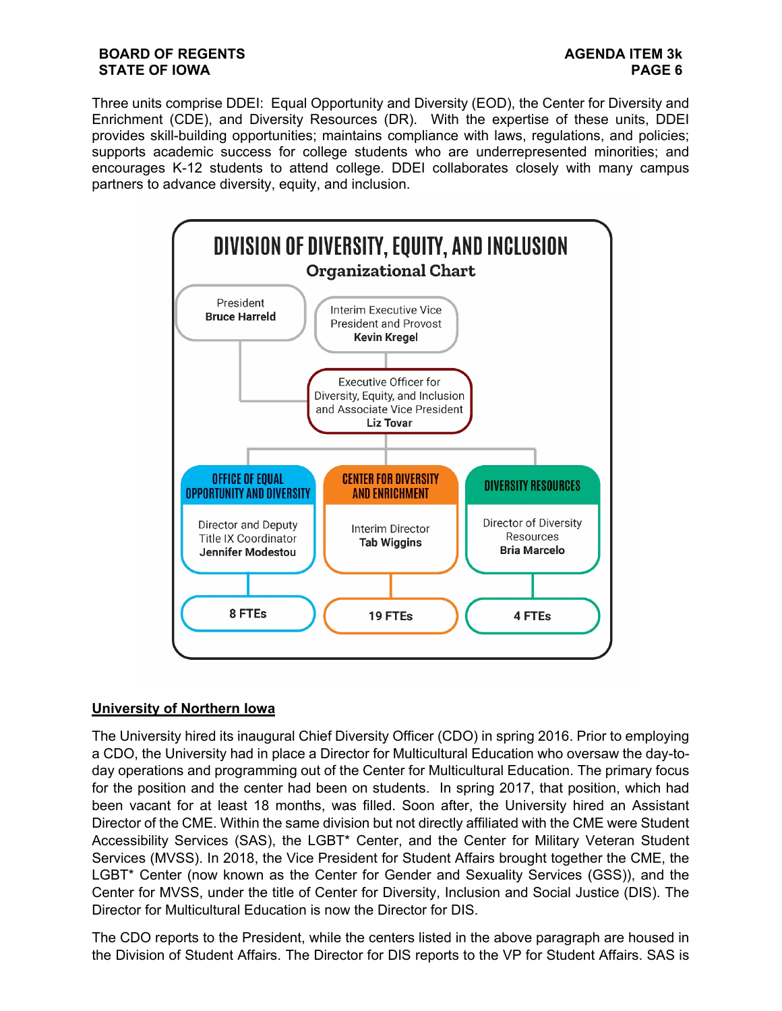Three units comprise DDEI: Equal Opportunity and Diversity (EOD), the Center for Diversity and Enrichment (CDE), and Diversity Resources (DR). With the expertise of these units, DDEI provides skill-building opportunities; maintains compliance with laws, regulations, and policies; supports academic success for college students who are underrepresented minorities; and encourages K-12 students to attend college. DDEI collaborates closely with many campus partners to advance diversity, equity, and inclusion.



# **University of Northern Iowa**

The University hired its inaugural Chief Diversity Officer (CDO) in spring 2016. Prior to employing a CDO, the University had in place a Director for Multicultural Education who oversaw the day-today operations and programming out of the Center for Multicultural Education. The primary focus for the position and the center had been on students. In spring 2017, that position, which had been vacant for at least 18 months, was filled. Soon after, the University hired an Assistant Director of the CME. Within the same division but not directly affiliated with the CME were Student Accessibility Services (SAS), the LGBT\* Center, and the Center for Military Veteran Student Services (MVSS). In 2018, the Vice President for Student Affairs brought together the CME, the LGBT\* Center (now known as the Center for Gender and Sexuality Services (GSS)), and the Center for MVSS, under the title of Center for Diversity, Inclusion and Social Justice (DIS). The Director for Multicultural Education is now the Director for DIS.

The CDO reports to the President, while the centers listed in the above paragraph are housed in the Division of Student Affairs. The Director for DIS reports to the VP for Student Affairs. SAS is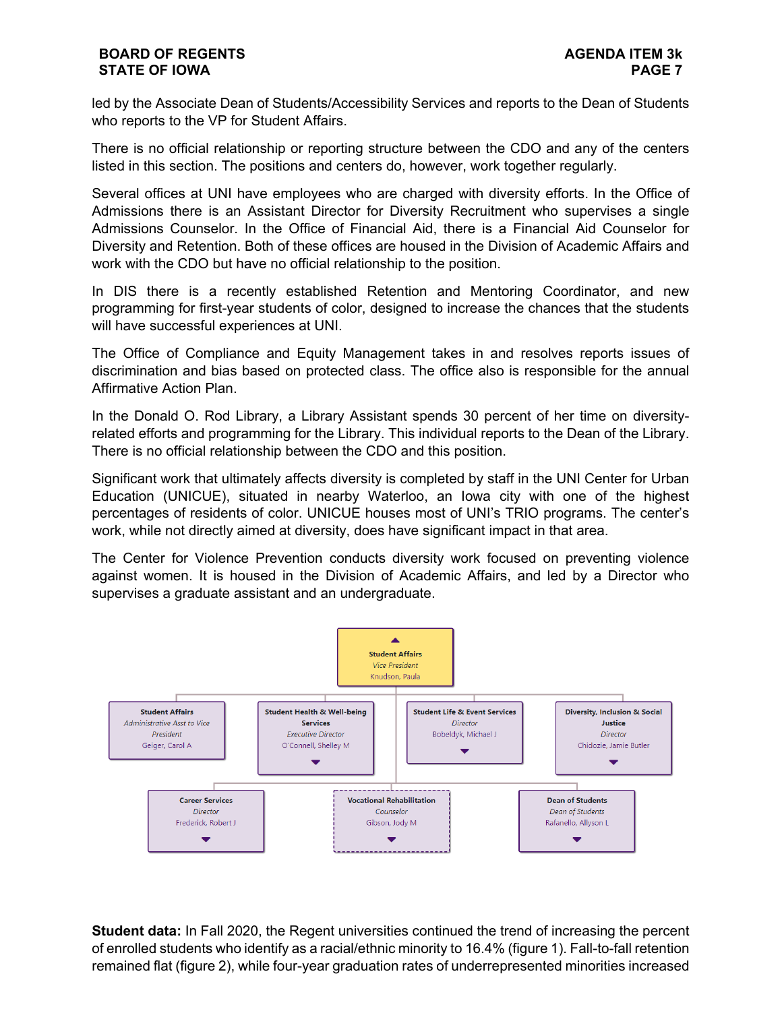led by the Associate Dean of Students/Accessibility Services and reports to the Dean of Students who reports to the VP for Student Affairs.

There is no official relationship or reporting structure between the CDO and any of the centers listed in this section. The positions and centers do, however, work together regularly.

Several offices at UNI have employees who are charged with diversity efforts. In the Office of Admissions there is an Assistant Director for Diversity Recruitment who supervises a single Admissions Counselor. In the Office of Financial Aid, there is a Financial Aid Counselor for Diversity and Retention. Both of these offices are housed in the Division of Academic Affairs and work with the CDO but have no official relationship to the position.

In DIS there is a recently established Retention and Mentoring Coordinator, and new programming for first-year students of color, designed to increase the chances that the students will have successful experiences at UNI.

The Office of Compliance and Equity Management takes in and resolves reports issues of discrimination and bias based on protected class. The office also is responsible for the annual Affirmative Action Plan.

In the Donald O. Rod Library, a Library Assistant spends 30 percent of her time on diversityrelated efforts and programming for the Library. This individual reports to the Dean of the Library. There is no official relationship between the CDO and this position.

Significant work that ultimately affects diversity is completed by staff in the UNI Center for Urban Education (UNICUE), situated in nearby Waterloo, an Iowa city with one of the highest percentages of residents of color. UNICUE houses most of UNI's TRIO programs. The center's work, while not directly aimed at diversity, does have significant impact in that area.

The Center for Violence Prevention conducts diversity work focused on preventing violence against women. It is housed in the Division of Academic Affairs, and led by a Director who supervises a graduate assistant and an undergraduate.



**Student data:** In Fall 2020, the Regent universities continued the trend of increasing the percent of enrolled students who identify as a racial/ethnic minority to 16.4% (figure 1). Fall-to-fall retention remained flat (figure 2), while four-year graduation rates of underrepresented minorities increased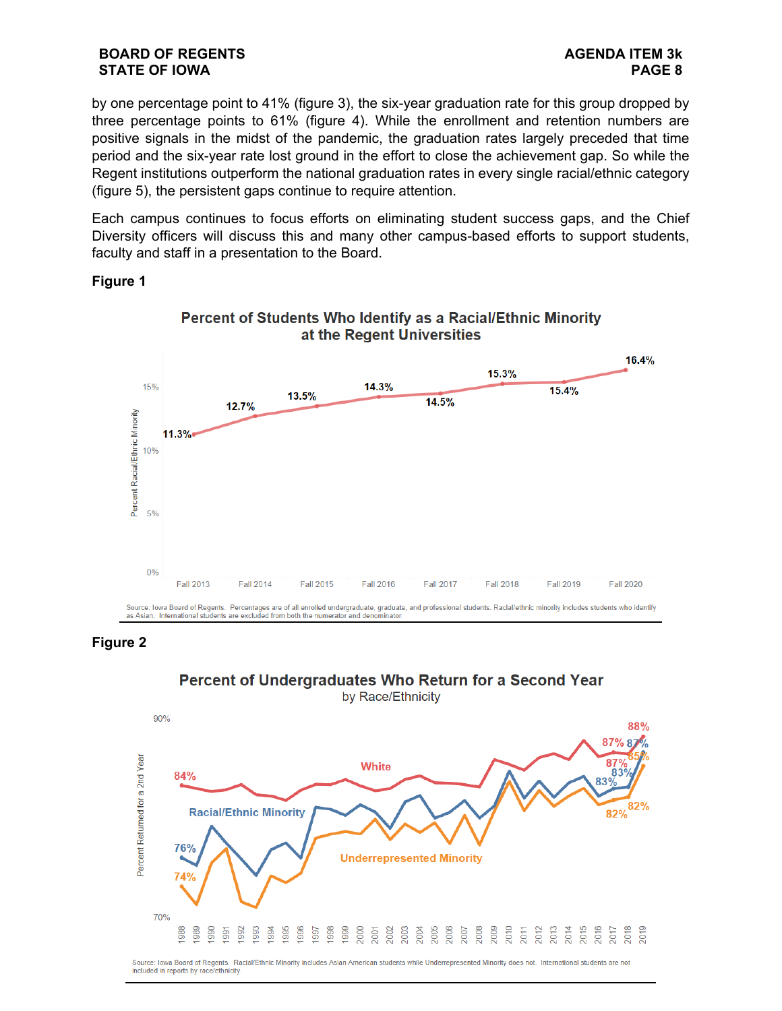by one percentage point to 41% (figure 3), the six-year graduation rate for this group dropped by three percentage points to 61% (figure 4). While the enrollment and retention numbers are positive signals in the midst of the pandemic, the graduation rates largely preceded that time period and the six-year rate lost ground in the effort to close the achievement gap. So while the Regent institutions outperform the national graduation rates in every single racial/ethnic category (figure 5), the persistent gaps continue to require attention.

Each campus continues to focus efforts on eliminating student success gaps, and the Chief Diversity officers will discuss this and many other campus-based efforts to support students, faculty and staff in a presentation to the Board.

# **Figure 1**





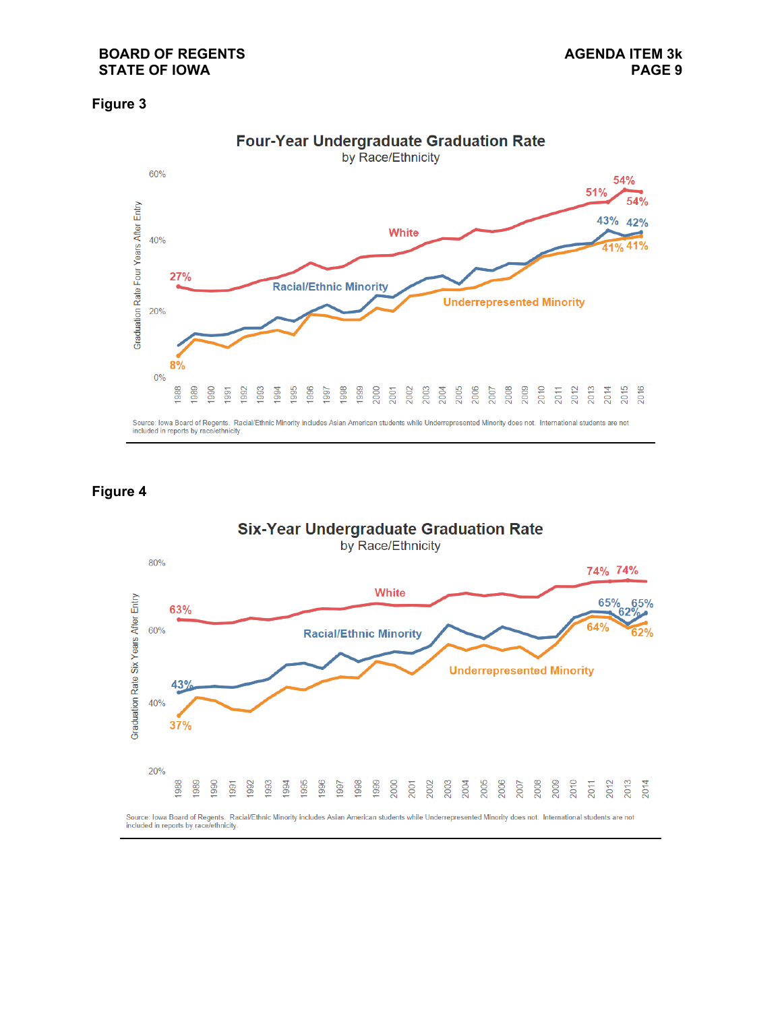## **Figure 3**



# **Figure 4**